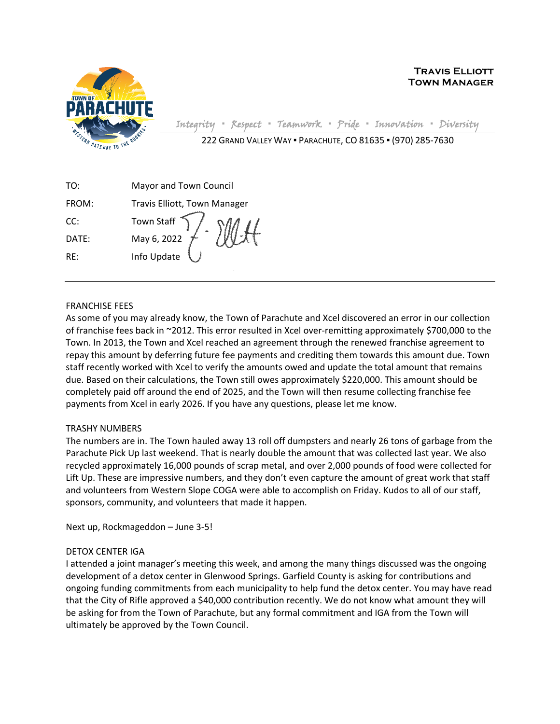

Integrity **▪** Respect **▪** Teamwork **▪** Pride **▪** Innovation **▪** Diversity

| 222 GRAND VALLEY WAY . PARACHUTE, CO 81635 . (970) 285-7630 |  |  |  |
|-------------------------------------------------------------|--|--|--|
|-------------------------------------------------------------|--|--|--|

| TO:   | Mayor and Town Council                 |
|-------|----------------------------------------|
| FROM: | Travis Elliott, Town Manager           |
| CC:   | Town Staff $\bigcap$ / $\vdots$<br>MMH |
| DATE: | May 6, 2022<br>Info Update             |
| RF∶   |                                        |
|       |                                        |

## FRANCHISE FEES

As some of you may already know, the Town of Parachute and Xcel discovered an error in our collection of franchise fees back in ~2012. This error resulted in Xcel over-remitting approximately \$700,000 to the Town. In 2013, the Town and Xcel reached an agreement through the renewed franchise agreement to repay this amount by deferring future fee payments and crediting them towards this amount due. Town staff recently worked with Xcel to verify the amounts owed and update the total amount that remains due. Based on their calculations, the Town still owes approximately \$220,000. This amount should be completely paid off around the end of 2025, and the Town will then resume collecting franchise fee payments from Xcel in early 2026. If you have any questions, please let me know.

## TRASHY NUMBERS

The numbers are in. The Town hauled away 13 roll off dumpsters and nearly 26 tons of garbage from the Parachute Pick Up last weekend. That is nearly double the amount that was collected last year. We also recycled approximately 16,000 pounds of scrap metal, and over 2,000 pounds of food were collected for Lift Up. These are impressive numbers, and they don't even capture the amount of great work that staff and volunteers from Western Slope COGA were able to accomplish on Friday. Kudos to all of our staff, sponsors, community, and volunteers that made it happen.

Next up, Rockmageddon – June 3-5!

## DETOX CENTER IGA

I attended a joint manager's meeting this week, and among the many things discussed was the ongoing development of a detox center in Glenwood Springs. Garfield County is asking for contributions and ongoing funding commitments from each municipality to help fund the detox center. You may have read that the City of Rifle approved a \$40,000 contribution recently. We do not know what amount they will be asking for from the Town of Parachute, but any formal commitment and IGA from the Town will ultimately be approved by the Town Council.